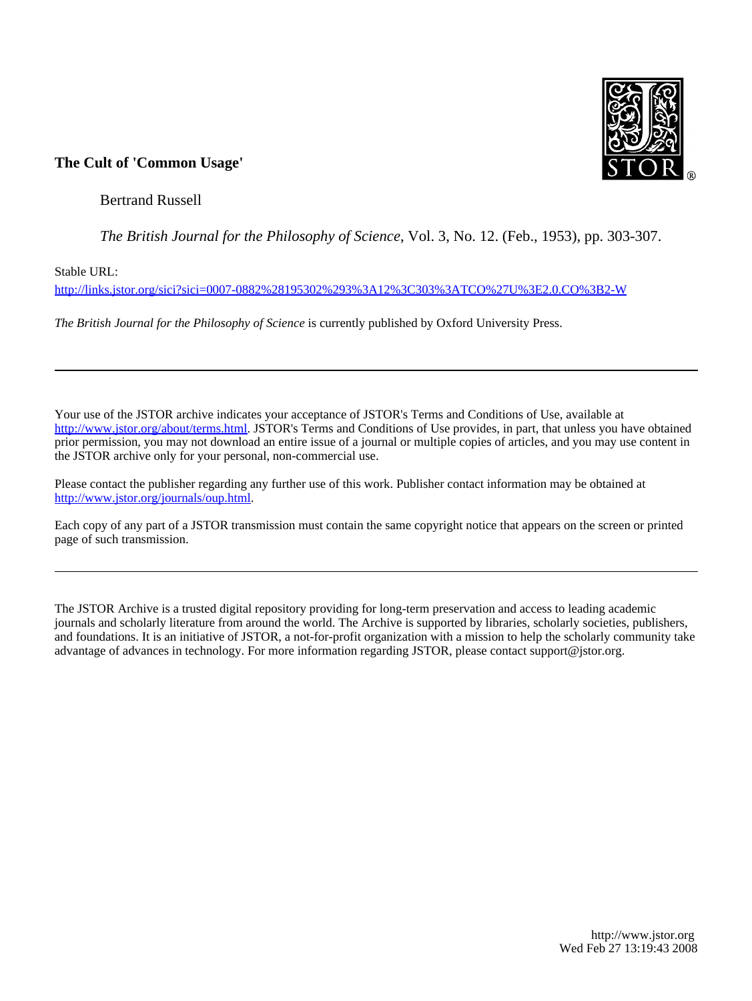

## **The Cult of 'Common Usage'**

Bertrand Russell

*The British Journal for the Philosophy of Science*, Vol. 3, No. 12. (Feb., 1953), pp. 303-307.

Stable URL:

<http://links.jstor.org/sici?sici=0007-0882%28195302%293%3A12%3C303%3ATCO%27U%3E2.0.CO%3B2-W>

*The British Journal for the Philosophy of Science* is currently published by Oxford University Press.

Your use of the JSTOR archive indicates your acceptance of JSTOR's Terms and Conditions of Use, available at [http://www.jstor.org/about/terms.html.](http://www.jstor.org/about/terms.html) JSTOR's Terms and Conditions of Use provides, in part, that unless you have obtained prior permission, you may not download an entire issue of a journal or multiple copies of articles, and you may use content in the JSTOR archive only for your personal, non-commercial use.

Please contact the publisher regarding any further use of this work. Publisher contact information may be obtained at <http://www.jstor.org/journals/oup.html>.

Each copy of any part of a JSTOR transmission must contain the same copyright notice that appears on the screen or printed page of such transmission.

The JSTOR Archive is a trusted digital repository providing for long-term preservation and access to leading academic journals and scholarly literature from around the world. The Archive is supported by libraries, scholarly societies, publishers, and foundations. It is an initiative of JSTOR, a not-for-profit organization with a mission to help the scholarly community take advantage of advances in technology. For more information regarding JSTOR, please contact support@jstor.org.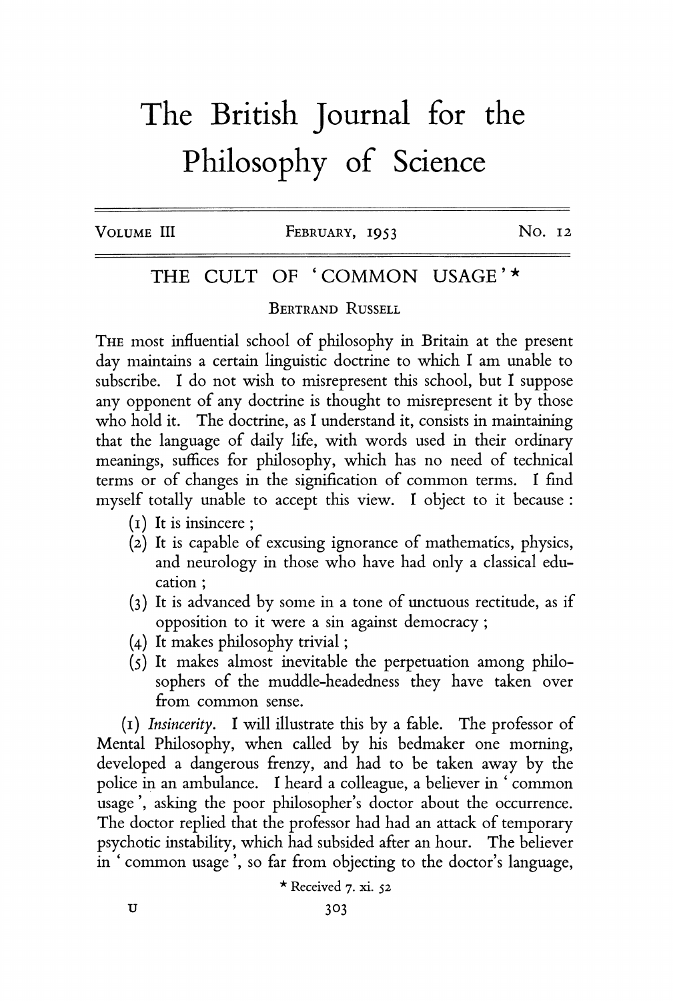## The British Journal for the Philosophy of Science

VOLUMEI11 FEBRUARY, **1953** No. 12

## THE CULT OF 'COMMON USAGE'\*

## **BERTRAND RUSSELL**

THE most influential school of philosophy in Britain at the present day maintains a certain linguistic doctrine to which I am unable to subscribe. I do not wish to misrepresent this school, but I suppose any opponent of any doctrine is thought to misrepresent it by those who hold it. The doctrine, as I understand it, consists in maintaining that the language of daily life, with words used in their ordinary meanings, suffices for philosophy, which has no need of technical terms or of changes in the signification of common terms. I find myself totally unable to accept this view. I object to it because :

- **(I)** It is insincere ;
- *(2)* It is capable of excusing ignorance of mathematics, physics, and neurology in those who have had only a classical education ;
- **(3)** It is advanced by some in a tone of unctuous rectitude, as if opposition to it were a sin against democracy ;
- (4) It makes philosophy trivial ;
- **(5)** It makes almost inevitable the perpetuation among philosophers of the muddle-headedness they have taken over from common sense.

**(I) Insincerity.** I will illustrate this by a fable. The professor of Mental Philosophy, when called by his bedmaker one morning, developed a dangerous frenzy, and had to be taken away by the police in an ambulance. I heard a colleague, a believer in ' common usage ', asking the poor philosopher's doctor about the occurrence. The doctor replied that the professor had had an attack of temporary psychotic instability, which had subsided after an hour. The believer in ' common usage ', so far from objecting to the doctor's language,

<sup>\*</sup> Received **7.** xi. **<sup>52</sup>**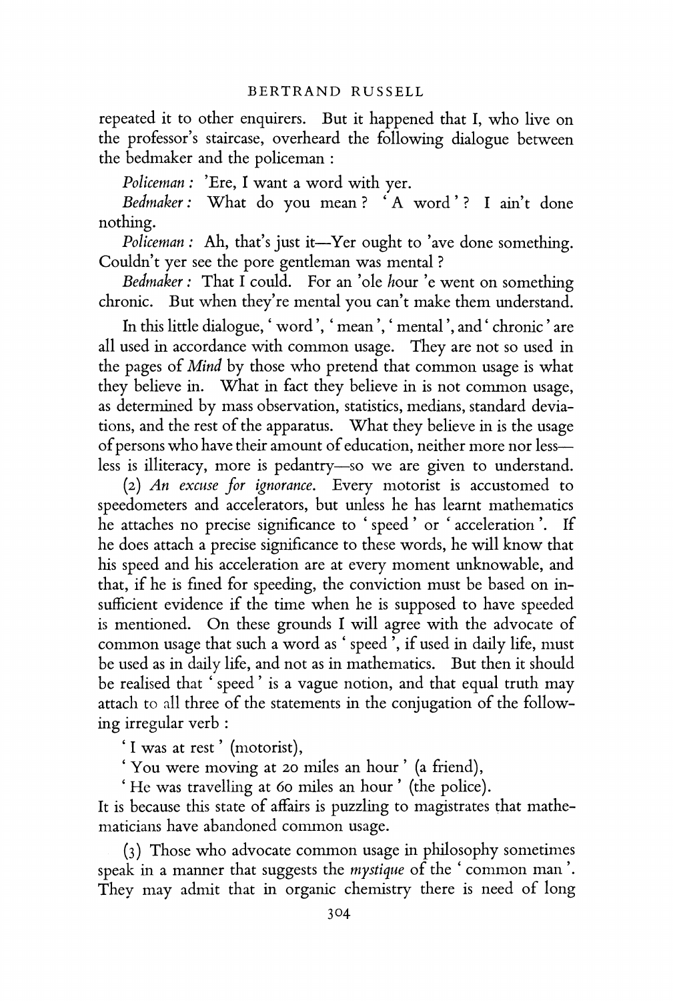repeated it to other enquirers. But it happened that I, who live on the professor's staircase, overheard the following dialogue between the bedmaker and the policeman :

*Policeman* : 'Ere, I want a word with yer.

Bedmaker: What do you mean? 'A word'? I ain't done nothing.

*Policeman* : Ah, that's just it—Yer ought to 'ave done something. Couldn't yer see the pore gentleman was mental ?

*Bedmaker*: That I could. For an 'ole hour' e went on something chronic. But when they're mental you can't make them understand.

In this little dialogue, 'word', 'mean', 'mental', and ' chronic' are all used in accordance with common usage. They are not so used in the pages of *Mind* by those who pretend that common usage is what they believe in. What in fact they believe in is not common usage, as determined by mass observation, statistics, medians, standard deviations, and the rest of the apparatus. What they believe in is the usage of persons who have their amount of education, neither more nor lessless is illiteracy, more is pedantry-so we are given to understand.

*(2) An excirse for ignorance.* Every motorist is accustomed to speedometers and accelerators, but unless he has learnt mathematics he attaches no precise significance to ' speed ' or ' acceleration '. If he does attach a precise significance to these words, he will know that his speed and his acceleration are at every moment unknowable, and that, if he is fined for speeding, the conviction must be based on insufficient evidence if the time when he is supposed to have speeded is mentioned. On these grounds I will agree with the advocate of common usage that such a word as 'speed', if used in daily life, must be used as in daily life, and not as in mathematics. But then it should be realised that 'speed' is a vague notion, and that equal truth may attach to all three of the statements in the conjugation of the following irregular verb :

'I was at rest' (motorist),

' You were moving at 20 miles an hour ' (a friend),

' He was travelling at 60 miles an hour ' (the police).

It is because this state of affairs is puzzling to magistrates that mathematicians have abandoned common usage.

(3) Those who advocate common usage in philosophy sometimes speak in a manner that suggests the *mystique* of the ' common man'. They may admit that in organic chemistry there is need of long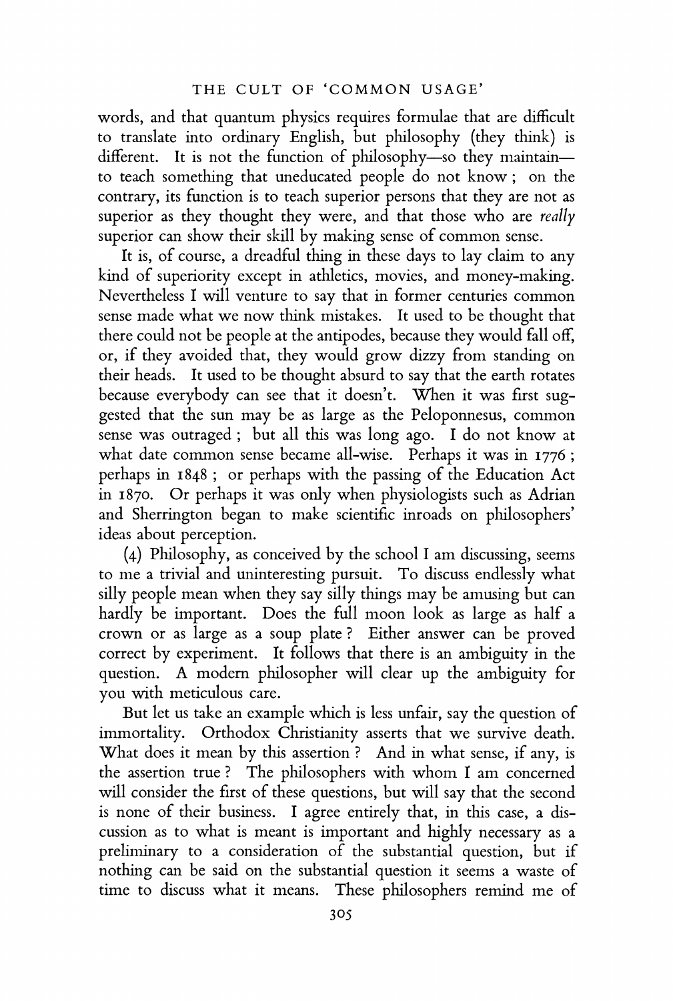words, and that quantum physics requires formulae that are difficult to translate into ordinary English, but philosophy (they think) is different. It is not the function of philosophy-so they maintainto teach somethng that uneducated people do not know ; on the contrary, its function is to teach superior persons that they are not as superior as they thought they were, and that those who are really superior can show their skill by making sense of common sense.

It is, of course, a dreadful thing in these days to lay claim to any kind of superiority except in athletics, movies, and money-making. Nevertheless I will venture to say that in former centuries common sense made what we now think mistakes. It used to be thought that there could not be people at the antipodes, because they would fall off, or, if they avoided that, they would grow dizzy from standing on their heads. It used to be thought absurd to say that the earth rotates because everybody can see that it doesn't. When it was first suggested that the sun may be as large as the Peloponnesus, common sense was outraged ; but all this was long ago. I do not know at what date common sense became all-wise. Perhaps it was in 1776 ; perhaps in 1848 ; or perhaps with the passing of the Education Act in 1870. Or perhaps it was only when physiologists such as Adrian and Sherrington began to make scientific inroads on philosophers' ideas about perception.

(4) Philosophy, as conceived by the school I am discussing, seems to me a trivial and uninteresting pursuit. To discuss endlessly what silly people mean when they say silly things may be amusing but can hardly be important. Does the full moon look as large as half a crown or as large as a soup plate ? Either answer can be proved correct by experiment. It follows that there is an ambiguity in the question. A modern philosopher will clear up the ambiguity for you with meticulous care.

But let us take an exampie which is less unfair, say the question of immortality. Orthodox Christianity asserts that we survive death. What does it mean by this assertion ? And in what sense, if any, is the assertion true ? The philosophers with whom I am concerned will consider the first of these questions, but will say that the second is none of their business. I agree entirely that, in this case, a discussion as to what is meant is important and highly necessary as a preliminary to a consideration of the substantial question, but if nothing can be said on the substantial question it seems a waste of time to discuss what it means. These philosophers remind me of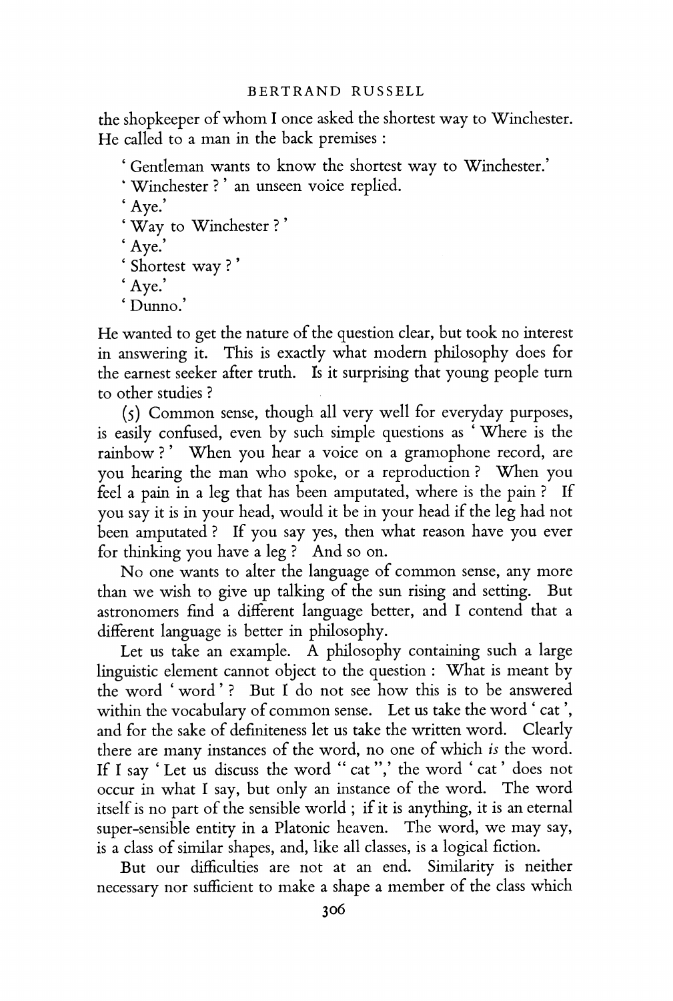the shopkeeper of whom I once asked the shortest way to Winchester. He called to a man in the back premises :

' Gentleman wants to know the shortest way to Winchester.'

' Winchester ? ' an unseen voice replied.

' Aye.'

' Way to Winchester ? '

' Aye.'

' Shortest way ? '

' Aye.'

' Dunno.'

He wanted to get the nature of the question clear, but took no interest in answering it. This is exactly what modern philosophy does for the earnest seeker after truth. Is it surprising that young people turn to other studies ?

**(5)** Common sense, though all very well for everyday purposes, is easily confused, even by such simple questions as ' Where is the rainbow?' When you hear a voice on a gramophone record, are you hearing the man who spoke, or a reproduction ? When you feel a pain in a leg that has been amputated, where is the pain ? If you say it is in your head, would it be in your head if the leg had not been amputated ? If you say yes, then what reason have you ever for thinking you have a leg ? And so on.

No one wants to alter the language of common sense, any more than we wish to give up talking of the sun rising and setting. But astronomers find a different language better, and I contend that a different language is better in philosophy.

Let us take an example. A philosophy containing such a large linguistic element cannot object to the question : What is meant by the word ' word'? But I do not see how this is to be answered within the vocabulary of common sense. Let us take the word 'cat', and for the sake of definiteness let us take the written word. Clearly there are many instances of the word, no one of which is the word. If I say 'Let us discuss the word " cat",' the word ' cat ' does not occur in what I say, but only an instance of the word. The word itself is no part of the sensible world ; if it is anything, it is an eternal super-sensible entity in a Platonic heaven. The word, we may say, is a class of similar shapes, and, like all classes, is a logical fiction.

But our difficulties are not at an end. Similarity is neither necessary nor sufficient to make a shape a member of the class which